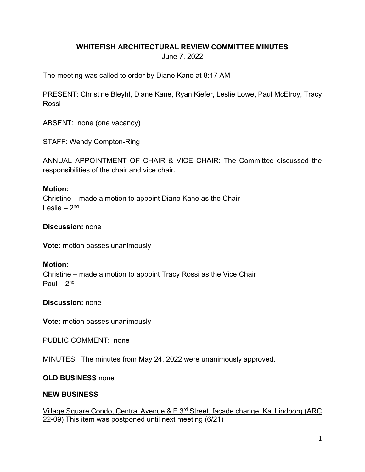### **WHITEFISH ARCHITECTURAL REVIEW COMMITTEE MINUTES**

June 7, 2022

The meeting was called to order by Diane Kane at 8:17 AM

PRESENT: Christine Bleyhl, Diane Kane, Ryan Kiefer, Leslie Lowe, Paul McElroy, Tracy Rossi

ABSENT: none (one vacancy)

STAFF: Wendy Compton-Ring

ANNUAL APPOINTMENT OF CHAIR & VICE CHAIR: The Committee discussed the responsibilities of the chair and vice chair.

### **Motion:**

Christine – made a motion to appoint Diane Kane as the Chair Leslie –  $2<sup>nd</sup>$ 

**Discussion:** none

**Vote:** motion passes unanimously

### **Motion:**

Christine – made a motion to appoint Tracy Rossi as the Vice Chair Paul –  $2<sup>nd</sup>$ 

**Discussion:** none

**Vote:** motion passes unanimously

PUBLIC COMMENT: none

MINUTES: The minutes from May 24, 2022 were unanimously approved.

### **OLD BUSINESS** none

### **NEW BUSINESS**

Village Square Condo, Central Avenue & E 3<sup>rd</sup> Street, façade change, Kai Lindborg (ARC 22-09) This item was postponed until next meeting (6/21)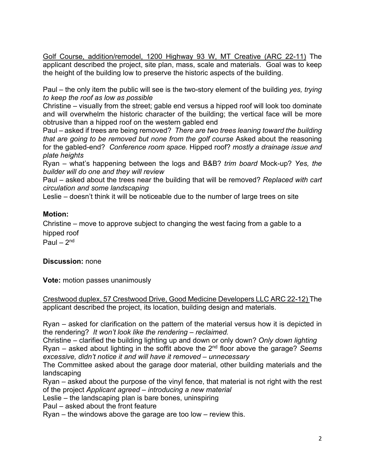Golf Course, addition/remodel, 1200 Highway 93 W, MT Creative (ARC 22-11) The applicant described the project, site plan, mass, scale and materials. Goal was to keep the height of the building low to preserve the historic aspects of the building.

Paul – the only item the public will see is the two-story element of the building *yes, trying to keep the roof as low as possible*

Christine – visually from the street; gable end versus a hipped roof will look too dominate and will overwhelm the historic character of the building; the vertical face will be more obtrusive than a hipped roof on the western gabled end

Paul – asked if trees are being removed? *There are two trees leaning toward the building that are going to be removed but none from the golf course* Asked about the reasoning for the gabled-end? *Conference room space.* Hipped roof? *mostly a drainage issue and plate heights* 

Ryan – what's happening between the logs and B&B? *trim board* Mock-up? *Yes, the builder will do one and they will review*

Paul – asked about the trees near the building that will be removed? *Replaced with cart circulation and some landscaping*

Leslie – doesn't think it will be noticeable due to the number of large trees on site

# **Motion:**

Christine – move to approve subject to changing the west facing from a gable to a hipped roof

Paul –  $2<sup>nd</sup>$ 

# **Discussion:** none

**Vote:** motion passes unanimously

Crestwood duplex, 57 Crestwood Drive, Good Medicine Developers LLC ARC 22-12) The applicant described the project, its location, building design and materials.

Ryan – asked for clarification on the pattern of the material versus how it is depicted in the rendering? *It won't look like the rendering – reclaimed.*

Christine – clarified the building lighting up and down or only down? *Only down lighting* Ryan – asked about lighting in the soffit above the 2nd floor above the garage? *Seems excessive, didn't notice it and will have it removed – unnecessary*

The Committee asked about the garage door material, other building materials and the landscaping

Ryan – asked about the purpose of the vinyl fence, that material is not right with the rest of the project *Applicant agreed – introducing a new material*

Leslie – the landscaping plan is bare bones, uninspiring

Paul – asked about the front feature

Ryan – the windows above the garage are too low – review this.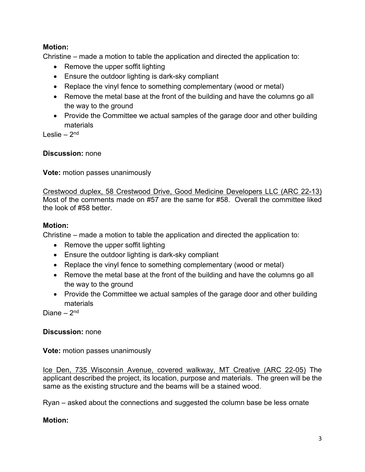# **Motion:**

Christine – made a motion to table the application and directed the application to:

- Remove the upper soffit lighting
- Ensure the outdoor lighting is dark-sky compliant
- Replace the vinyl fence to something complementary (wood or metal)
- Remove the metal base at the front of the building and have the columns go all the way to the ground
- Provide the Committee we actual samples of the garage door and other building materials

Leslie –  $2<sup>nd</sup>$ 

# **Discussion:** none

**Vote:** motion passes unanimously

Crestwood duplex, 58 Crestwood Drive, Good Medicine Developers LLC (ARC 22-13) Most of the comments made on #57 are the same for #58. Overall the committee liked the look of #58 better.

# **Motion:**

Christine – made a motion to table the application and directed the application to:

- Remove the upper soffit lighting
- Ensure the outdoor lighting is dark-sky compliant
- Replace the vinyl fence to something complementary (wood or metal)
- Remove the metal base at the front of the building and have the columns go all the way to the ground
- Provide the Committee we actual samples of the garage door and other building materials

Diane  $-2<sup>nd</sup>$ 

# **Discussion:** none

**Vote:** motion passes unanimously

Ice Den, 735 Wisconsin Avenue, covered walkway, MT Creative (ARC 22-05) The applicant described the project, its location, purpose and materials. The green will be the same as the existing structure and the beams will be a stained wood.

Ryan – asked about the connections and suggested the column base be less ornate

# **Motion:**